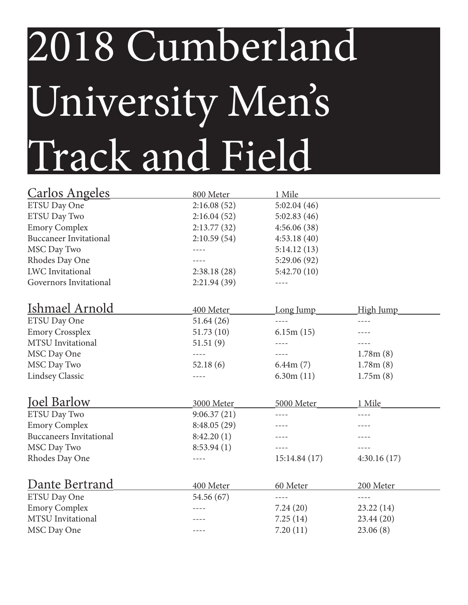## 2018 Cumberland University Men's Track and Field

| <b>Carlos Angeles</b>          | 800 Meter   | 1 Mile       |                  |
|--------------------------------|-------------|--------------|------------------|
| ETSU Day One                   | 2:16.08(52) | 5:02.04(46)  |                  |
| ETSU Day Two                   | 2:16.04(52) | 5:02.83(46)  |                  |
| <b>Emory Complex</b>           | 2:13.77(32) | 4:56.06(38)  |                  |
| <b>Buccaneer Invitational</b>  | 2:10.59(54) | 4:53.18(40)  |                  |
| MSC Day Two                    |             | 5:14.12(13)  |                  |
| Rhodes Day One                 |             | 5:29.06 (92) |                  |
| <b>LWC</b> Invitational        | 2:38.18(28) | 5:42.70(10)  |                  |
| Governors Invitational         | 2:21.94(39) |              |                  |
| Ishmael Arnold                 | 400 Meter   | Long Jump    | <b>High Jump</b> |
| <b>ETSU Day One</b>            | 51.64(26)   | $- - - -$    | $- - - -$        |
| <b>Emory Crossplex</b>         | 51.73(10)   | 6.15m(15)    |                  |
| MTSU Invitational              | 51.51(9)    | $- - - -$    |                  |
| MSC Day One                    | $- - - -$   |              | 1.78m(8)         |
| MSC Day Two                    | 52.18(6)    | 6.44m(7)     | 1.78m(8)         |
| <b>Lindsey Classic</b>         |             | 6.30m(11)    | 1.75m(8)         |
| <b>Joel Barlow</b>             | 3000 Meter  | 5000 Meter   | 1 Mile           |
| <b>ETSU Day Two</b>            | 9:06.37(21) | $- - - -$    | $- - - -$        |
| <b>Emory Complex</b>           | 8:48.05(29) |              |                  |
| <b>Buccaneers Invitational</b> | 8:42.20(1)  |              |                  |
| MSC Day Two                    | 8:53.94(1)  | $- - - -$    | $- - - -$        |
| Rhodes Day One                 | $- - - -$   | 15:14.84(17) | 4:30.16(17)      |
| Dante Bertrand                 | 400 Meter   | 60 Meter     | 200 Meter        |
| ETSU Day One                   | 54.56 (67)  | $- - - -$    |                  |
| <b>Emory Complex</b>           |             | 7.24(20)     | 23.22(14)        |
| MTSU Invitational              |             | 7.25(14)     | 23.44(20)        |
| MSC Day One                    |             | 7.20(11)     | 23.06(8)         |
|                                |             |              |                  |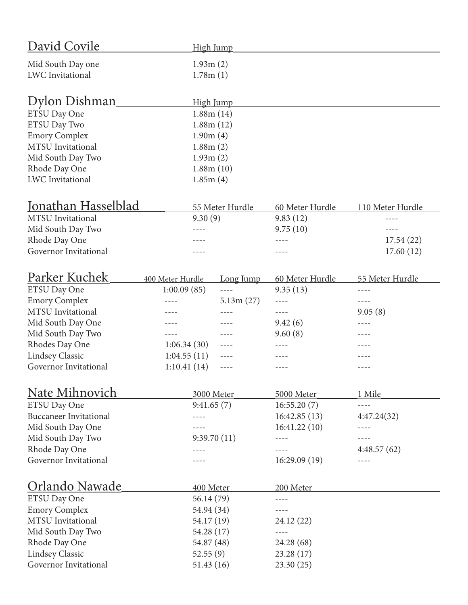| David Covile                  | <b>High Jump</b> |                 |                 |                  |  |
|-------------------------------|------------------|-----------------|-----------------|------------------|--|
| Mid South Day one             |                  | 1.93m(2)        |                 |                  |  |
| <b>LWC</b> Invitational       | 1.78m(1)         |                 |                 |                  |  |
|                               |                  |                 |                 |                  |  |
| <u> Dylon Dishman</u>         |                  | High Jump       |                 |                  |  |
| ETSU Day One                  |                  | 1.88m(14)       |                 |                  |  |
| ETSU Day Two                  |                  | 1.88m(12)       |                 |                  |  |
| <b>Emory Complex</b>          | 1.90m(4)         |                 |                 |                  |  |
| <b>MTSU</b> Invitational      | 1.88m(2)         |                 |                 |                  |  |
| Mid South Day Two             | 1.93m(2)         |                 |                 |                  |  |
| Rhode Day One                 |                  | 1.88m(10)       |                 |                  |  |
| <b>LWC</b> Invitational       | 1.85m(4)         |                 |                 |                  |  |
|                               |                  |                 |                 |                  |  |
| Jonathan Hasselblad           |                  | 55 Meter Hurdle | 60 Meter Hurdle | 110 Meter Hurdle |  |
| <b>MTSU</b> Invitational      | 9.30(9)          |                 | 9.83(12)        |                  |  |
| Mid South Day Two             |                  |                 | 9.75(10)        | ----             |  |
| Rhode Day One                 |                  |                 | $- - - -$       | 17.54(22)        |  |
| Governor Invitational         |                  |                 | $- - - -$       | 17.60(12)        |  |
|                               |                  |                 |                 |                  |  |
| Parker Kuchek                 | 400 Meter Hurdle | Long Jump       | 60 Meter Hurdle | 55 Meter Hurdle  |  |
| ETSU Day One                  | 1:00.09(85)      |                 | 9.35(13)        |                  |  |
| <b>Emory Complex</b>          |                  | 5.13m(27)       | ----            | $- - - -$        |  |
| <b>MTSU</b> Invitational      |                  |                 | $- - - -$       | 9.05(8)          |  |
| Mid South Day One             |                  |                 | 9.42(6)         | ----             |  |
| Mid South Day Two             | $- - - -$        | $---$           | 9.60(8)         | $- - - -$        |  |
| Rhodes Day One                | 1:06.34(30)      | $---$           | ----            |                  |  |
| <b>Lindsey Classic</b>        | 1:04.55(11)      | $- - - -$       | $- - - -$       | $- - - -$        |  |
| Governor Invitational         | 1:10.41(14)      | $- - - -$       |                 | $- - - -$        |  |
|                               |                  |                 |                 |                  |  |
| <b>Nate Mihnovich</b>         |                  | 3000 Meter      | 5000 Meter      | 1 Mile           |  |
| ETSU Day One                  | 9:41.65(7)       |                 | 16:55.20(7)     |                  |  |
| <b>Buccaneer Invitational</b> |                  |                 | 16:42.85(13)    | 4:47.24(32)      |  |
| Mid South Day One             |                  |                 | 16:41.22(10)    | $- - - -$        |  |
| Mid South Day Two             |                  | 9:39.70(11)     | ----            | $- - - -$        |  |
| Rhode Day One                 |                  |                 |                 | 4:48.57(62)      |  |
| Governor Invitational         |                  |                 | 16:29.09(19)    |                  |  |
|                               |                  |                 |                 |                  |  |
| Orlando Nawade                | 400 Meter        |                 | 200 Meter       |                  |  |
| <b>ETSU Day One</b>           | 56.14 (79)       |                 | $- - - -$       |                  |  |
| <b>Emory Complex</b>          | 54.94 (34)       |                 |                 |                  |  |
| <b>MTSU</b> Invitational      | 54.17 (19)       |                 | 24.12 (22)      |                  |  |
| Mid South Day Two             | 54.28 (17)       |                 |                 |                  |  |
| Rhode Day One                 | 54.87 (48)       |                 | 24.28 (68)      |                  |  |
| <b>Lindsey Classic</b>        | 52.55(9)         |                 | 23.28(17)       |                  |  |
| Governor Invitational         | 51.43(16)        |                 | 23.30(25)       |                  |  |
|                               |                  |                 |                 |                  |  |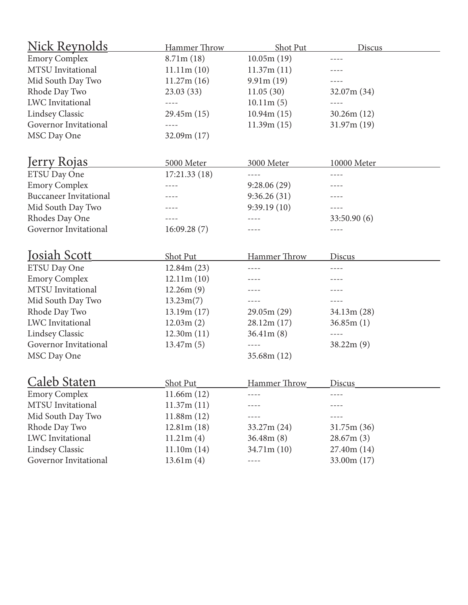| <u>Nick Reynolds</u>          | Hammer Throw | Shot Put     | Discus      |
|-------------------------------|--------------|--------------|-------------|
| <b>Emory Complex</b>          | 8.71m(18)    | 10.05m(19)   |             |
| MTSU Invitational             | 11.11m(10)   | 11.37m(11)   |             |
| Mid South Day Two             | 11.27m(16)   | 9.91m(19)    |             |
| Rhode Day Two                 | 23.03(33)    | 11.05(30)    | 32.07m(34)  |
| <b>LWC</b> Invitational       | $- - - -$    | 10.11m(5)    | $- - - -$   |
| <b>Lindsey Classic</b>        | 29.45m(15)   | 10.94m(15)   | 30.26m(12)  |
| Governor Invitational         | $- - - -$    | 11.39m(15)   | 31.97m(19)  |
| MSC Day One                   | 32.09m(17)   |              |             |
| <u>Jerry Rojas</u>            | 5000 Meter   | 3000 Meter   | 10000 Meter |
| ETSU Day One                  | 17:21.33(18) | $- - - -$    | ----        |
| <b>Emory Complex</b>          | ----         | 9:28.06(29)  | ----        |
| <b>Buccaneer Invitational</b> | ----         | 9:36.26(31)  | ----        |
| Mid South Day Two             |              | 9:39.19(10)  |             |
| Rhodes Day One                |              | ----         | 33:50.90(6) |
| Governor Invitational         | 16:09.28(7)  |              | ----        |
|                               |              |              |             |
| Josiah Scott                  | Shot Put     | Hammer Throw | Discus      |
| ETSU Day One                  | 12.84m(23)   | ----         | ----        |
| <b>Emory Complex</b>          | 12.11m(10)   | ----         | ----        |
| MTSU Invitational             | 12.26m(9)    |              |             |
| Mid South Day Two             | 13.23m(7)    | ----         |             |
| Rhode Day Two                 | 13.19m(17)   | 29.05m(29)   | 34.13m(28)  |
| <b>LWC</b> Invitational       | 12.03m(2)    | 28.12m(17)   | 36.85m(1)   |
| <b>Lindsey Classic</b>        | 12.30m(11)   | 36.41m(8)    |             |
| Governor Invitational         | 13.47m(5)    |              | 38.22m(9)   |
| MSC Day One                   |              | 35.68m(12)   |             |
| <b>Caleb Staten</b>           | Shot Put     | Hammer Throw | Discus      |
| <b>Emory Complex</b>          | 11.66m(12)   |              |             |
| MTSU Invitational             | 11.37m(11)   |              |             |
| Mid South Day Two             | 11.88m(12)   |              |             |
| Rhode Day Two                 | 12.81m(18)   | 33.27m(24)   | 31.75m(36)  |
| <b>LWC</b> Invitational       | 11.21m(4)    | 36.48m(8)    | 28.67m(3)   |
| <b>Lindsey Classic</b>        | 11.10m(14)   | 34.71m(10)   | 27.40m(14)  |
| Governor Invitational         | 13.61m(4)    | $- - - -$    | 33.00m (17) |